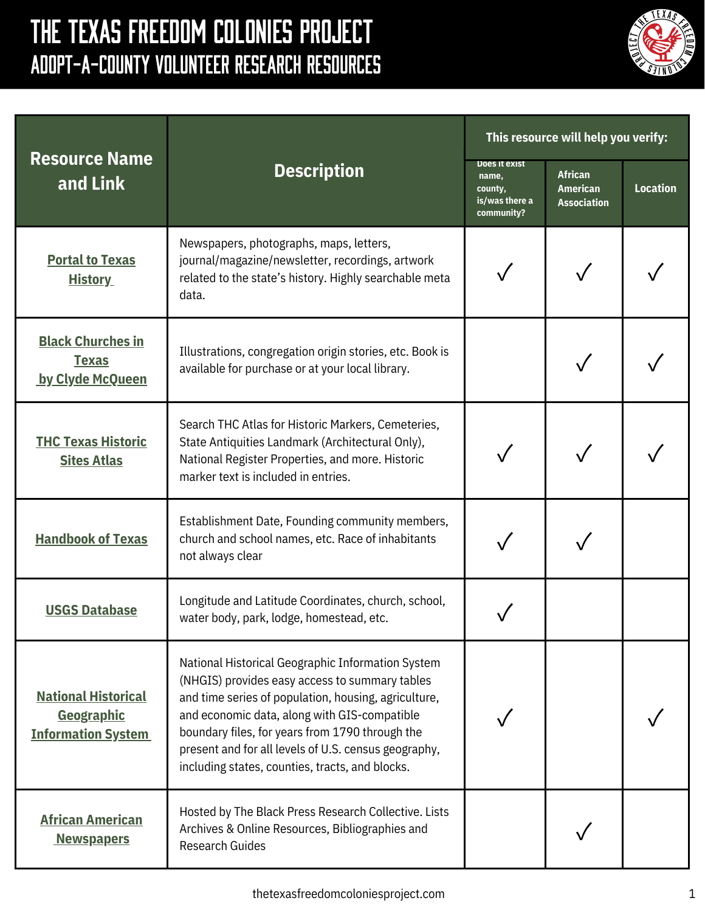## The Texas Freedom Colonies Project Adopt-A-County Volunteer Research Resources



| <b>Resource Name</b><br>and Link                                             | <b>Description</b>                                                                                                                                                                                                                                                                                                                                                        | This resource will help you verify:                               |                                                         |                 |
|------------------------------------------------------------------------------|---------------------------------------------------------------------------------------------------------------------------------------------------------------------------------------------------------------------------------------------------------------------------------------------------------------------------------------------------------------------------|-------------------------------------------------------------------|---------------------------------------------------------|-----------------|
|                                                                              |                                                                                                                                                                                                                                                                                                                                                                           | Does it exist<br>name,<br>county,<br>is/was there a<br>community? | <b>African</b><br><b>American</b><br><b>Association</b> | <b>Location</b> |
| <b>Portal to Texas</b><br><b>History</b>                                     | Newspapers, photographs, maps, letters,<br>journal/magazine/newsletter, recordings, artwork<br>related to the state's history. Highly searchable meta<br>data.                                                                                                                                                                                                            |                                                                   |                                                         |                 |
| <b>Black Churches in</b><br><b>Texas</b><br>by Clyde McQueen                 | Illustrations, congregation origin stories, etc. Book is<br>available for purchase or at your local library.                                                                                                                                                                                                                                                              |                                                                   |                                                         |                 |
| <b>THC Texas Historic</b><br><b>Sites Atlas</b>                              | Search THC Atlas for Historic Markers, Cemeteries,<br>State Antiquities Landmark (Architectural Only),<br>National Register Properties, and more. Historic<br>marker text is included in entries.                                                                                                                                                                         |                                                                   |                                                         |                 |
| <b>Handbook of Texas</b>                                                     | Establishment Date, Founding community members,<br>church and school names, etc. Race of inhabitants<br>not always clear                                                                                                                                                                                                                                                  |                                                                   |                                                         |                 |
| <b>USGS Database</b>                                                         | Longitude and Latitude Coordinates, church, school,<br>water body, park, lodge, homestead, etc.                                                                                                                                                                                                                                                                           |                                                                   |                                                         |                 |
| <b>National Historical</b><br><b>Geographic</b><br><b>Information System</b> | National Historical Geographic Information System<br>(NHGIS) provides easy access to summary tables<br>and time series of population, housing, agriculture,<br>and economic data, along with GIS-compatible<br>boundary files, for years from 1790 through the<br>present and for all levels of U.S. census geography,<br>including states, counties, tracts, and blocks. |                                                                   |                                                         |                 |
| <b>African American</b><br><b>Newspapers</b>                                 | Hosted by The Black Press Research Collective. Lists<br>Archives & Online Resources, Bibliographies and<br><b>Research Guides</b>                                                                                                                                                                                                                                         |                                                                   |                                                         |                 |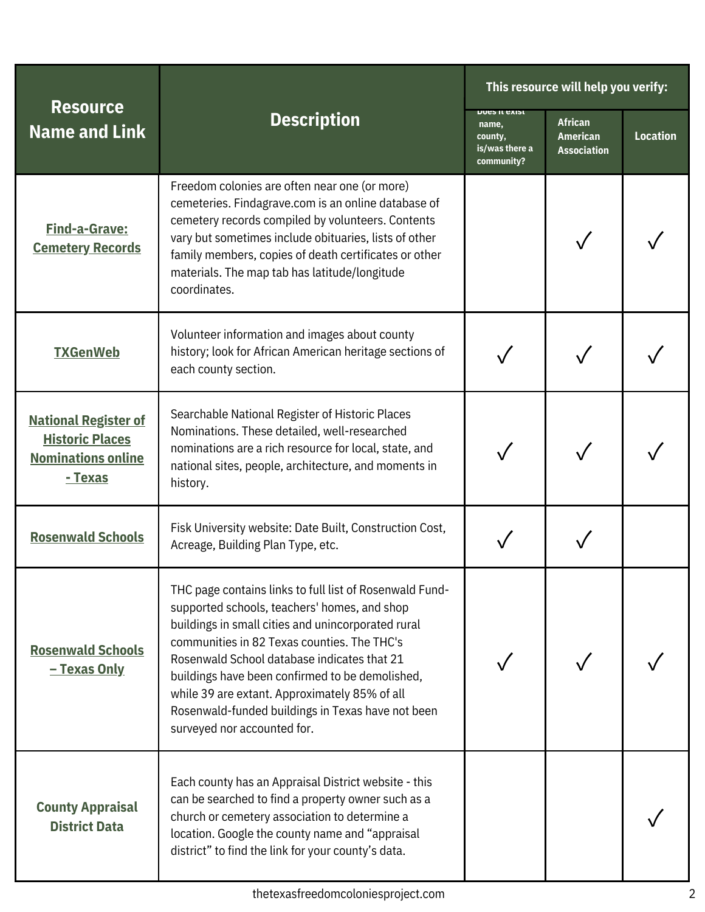| <b>Resource</b><br><b>Name and Link</b>                                                       | <b>Description</b>                                                                                                                                                                                                                                                                                                                                                                                                                                  | This resource will help you verify:                               |                                                         |                 |
|-----------------------------------------------------------------------------------------------|-----------------------------------------------------------------------------------------------------------------------------------------------------------------------------------------------------------------------------------------------------------------------------------------------------------------------------------------------------------------------------------------------------------------------------------------------------|-------------------------------------------------------------------|---------------------------------------------------------|-----------------|
|                                                                                               |                                                                                                                                                                                                                                                                                                                                                                                                                                                     | DOES IT EXIST<br>name,<br>county,<br>is/was there a<br>community? | <b>African</b><br><b>American</b><br><b>Association</b> | <b>Location</b> |
| <b>Find-a-Grave:</b><br><b>Cemetery Records</b>                                               | Freedom colonies are often near one (or more)<br>cemeteries. Findagrave.com is an online database of<br>cemetery records compiled by volunteers. Contents<br>vary but sometimes include obituaries, lists of other<br>family members, copies of death certificates or other<br>materials. The map tab has latitude/longitude<br>coordinates.                                                                                                        |                                                                   |                                                         |                 |
| <b>TXGenWeb</b>                                                                               | Volunteer information and images about county<br>history; look for African American heritage sections of<br>each county section.                                                                                                                                                                                                                                                                                                                    |                                                                   |                                                         |                 |
| <b>National Register of</b><br><b>Historic Places</b><br><b>Nominations online</b><br>- Texas | Searchable National Register of Historic Places<br>Nominations. These detailed, well-researched<br>nominations are a rich resource for local, state, and<br>national sites, people, architecture, and moments in<br>history.                                                                                                                                                                                                                        |                                                                   |                                                         |                 |
| <b>Rosenwald Schools</b>                                                                      | Fisk University website: Date Built, Construction Cost,<br>Acreage, Building Plan Type, etc.                                                                                                                                                                                                                                                                                                                                                        |                                                                   |                                                         |                 |
| <b>Rosenwald Schools</b><br>- Texas Only                                                      | THC page contains links to full list of Rosenwald Fund-<br>supported schools, teachers' homes, and shop<br>buildings in small cities and unincorporated rural<br>communities in 82 Texas counties. The THC's<br>Rosenwald School database indicates that 21<br>buildings have been confirmed to be demolished,<br>while 39 are extant. Approximately 85% of all<br>Rosenwald-funded buildings in Texas have not been<br>surveyed nor accounted for. |                                                                   |                                                         |                 |
| <b>County Appraisal</b><br><b>District Data</b>                                               | Each county has an Appraisal District website - this<br>can be searched to find a property owner such as a<br>church or cemetery association to determine a<br>location. Google the county name and "appraisal<br>district" to find the link for your county's data.                                                                                                                                                                                |                                                                   |                                                         |                 |